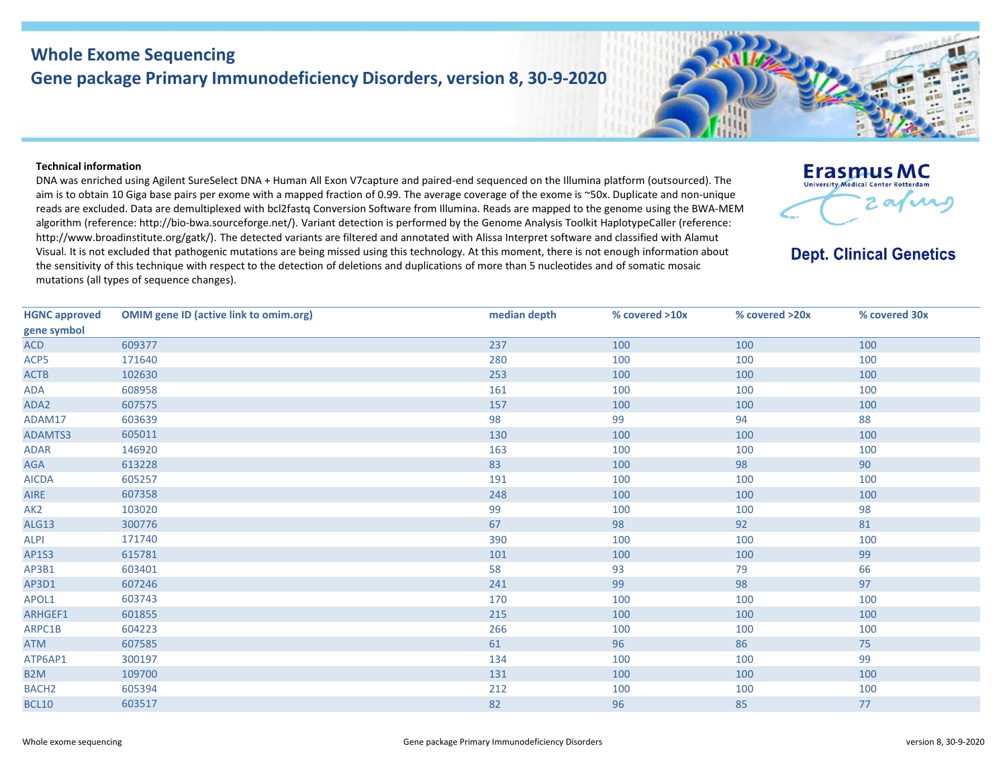## **Whole Exome Sequencing Gene package Primary Immunodeficiency Disorders, version 8, 30-9-2020**

## **Technical information**

DNA was enriched using Agilent SureSelect DNA + Human All Exon V7capture and paired-end sequenced on the Illumina platform (outsourced). The aim is to obtain 10 Giga base pairs per exome with a mapped fraction of 0.99. The average coverage of the exome is ~50x. Duplicate and non-unique reads are excluded. Data are demultiplexed with bcl2fastq Conversion Software from Illumina. Reads are mapped to the genome using the BWA-MEM algorithm (reference: http://bio‐bwa.sourceforge.net/). Variant detection is performed by the Genome Analysis Toolkit HaplotypeCaller (reference: http://www.broadinstitute.org/gatk/). The detected variants are filtered and annotated with Alissa Interpret software and classified with Alamut Visual. It is not excluded that pathogenic mutations are being missed using this technology. At this moment, there is not enough information about the sensitivity of this technique with respect to the detection of deletions and duplications of more than 5 nucleotides and of somatic mosaic mutations (all types of sequence changes).



**Dept. Clinical Genetics** 

| <b>HGNC approved</b> | <b>OMIM gene ID (active link to omim.org)</b> | median depth | % covered >10x | % covered >20x | % covered 30x |
|----------------------|-----------------------------------------------|--------------|----------------|----------------|---------------|
| gene symbol          |                                               |              |                |                |               |
| <b>ACD</b>           | 609377                                        | 237          | 100            | 100            | 100           |
| ACP5                 | 171640                                        | 280          | 100            | 100            | 100           |
| <b>ACTB</b>          | 102630                                        | 253          | 100            | 100            | 100           |
| ADA                  | 608958                                        | 161          | 100            | 100            | 100           |
| ADA2                 | 607575                                        | 157          | 100            | 100            | 100           |
| ADAM17               | 603639                                        | 98           | 99             | 94             | 88            |
| ADAMTS3              | 605011                                        | 130          | 100            | 100            | 100           |
| <b>ADAR</b>          | 146920                                        | 163          | 100            | 100            | 100           |
| AGA                  | 613228                                        | 83           | 100            | 98             | 90            |
| <b>AICDA</b>         | 605257                                        | 191          | 100            | 100            | 100           |
| <b>AIRE</b>          | 607358                                        | 248          | 100            | 100            | 100           |
| AK <sub>2</sub>      | 103020                                        | 99           | 100            | 100            | 98            |
| ALG13                | 300776                                        | 67           | 98             | 92             | 81            |
| <b>ALPI</b>          | 171740                                        | 390          | 100            | 100            | 100           |
| AP1S3                | 615781                                        | 101          | 100            | 100            | 99            |
| AP3B1                | 603401                                        | 58           | 93             | 79             | 66            |
| AP3D1                | 607246                                        | 241          | 99             | 98             | 97            |
| APOL1                | 603743                                        | 170          | 100            | 100            | 100           |
| ARHGEF1              | 601855                                        | 215          | 100            | 100            | 100           |
| ARPC1B               | 604223                                        | 266          | 100            | 100            | 100           |
| <b>ATM</b>           | 607585                                        | 61           | 96             | 86             | 75            |
| ATP6AP1              | 300197                                        | 134          | 100            | 100            | 99            |
| B <sub>2</sub> M     | 109700                                        | 131          | 100            | 100            | 100           |
| <b>BACH2</b>         | 605394                                        | 212          | 100            | 100            | 100           |
| <b>BCL10</b>         | 603517                                        | 82           | 96             | 85             | 77            |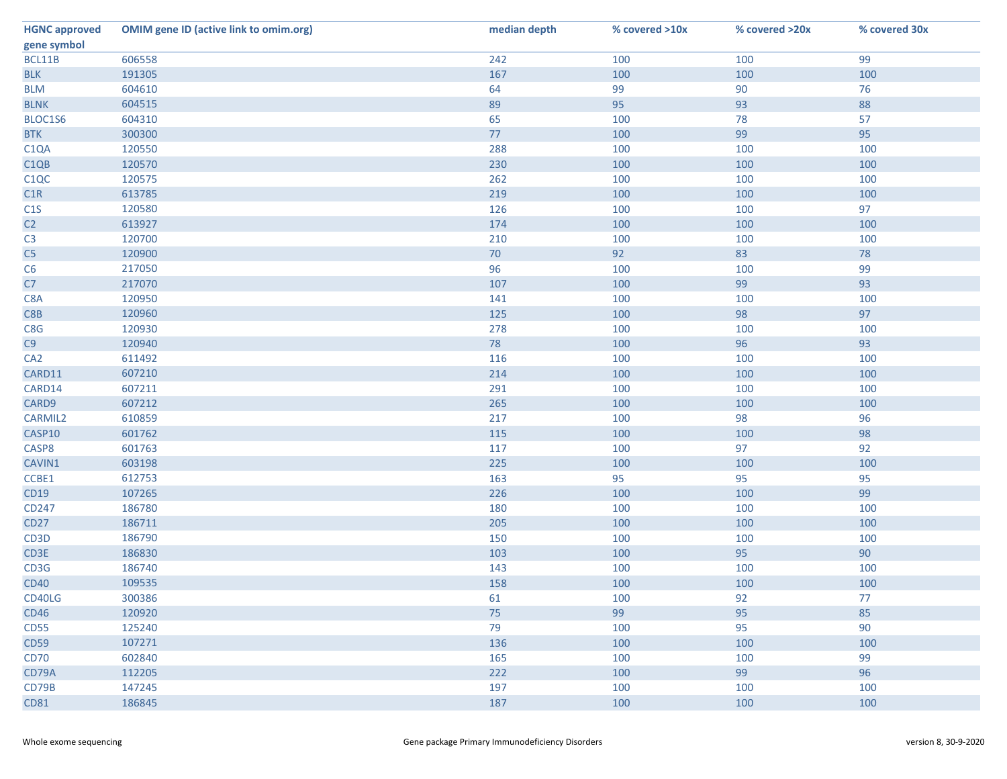| <b>HGNC approved</b>          | <b>OMIM gene ID (active link to omim.org)</b> | median depth | % covered >10x | % covered >20x | % covered 30x |
|-------------------------------|-----------------------------------------------|--------------|----------------|----------------|---------------|
| gene symbol                   |                                               |              |                |                |               |
| BCL11B                        | 606558                                        | 242          | 100            | 100            | 99            |
| <b>BLK</b>                    | 191305                                        | 167          | 100            | 100            | 100           |
| <b>BLM</b>                    | 604610                                        | 64           | 99             | 90             | 76            |
| <b>BLNK</b>                   | 604515                                        | 89           | 95             | 93             | 88            |
| BLOC1S6                       | 604310                                        | 65           | 100            | 78             | 57            |
| <b>BTK</b>                    | 300300                                        | 77           | 100            | 99             | 95            |
| C <sub>1</sub> QA             | 120550                                        | 288          | 100            | 100            | 100           |
| C <sub>1QB</sub>              | 120570                                        | 230          | 100            | 100            | 100           |
| C <sub>1</sub> Q <sub>C</sub> | 120575                                        | 262          | 100            | 100            | 100           |
| C1R                           | 613785                                        | 219          | 100            | 100            | 100           |
| C1S                           | 120580                                        | 126          | 100            | 100            | 97            |
| C <sub>2</sub>                | 613927                                        | 174          | 100            | 100            | 100           |
| C <sub>3</sub>                | 120700                                        | 210          | 100            | 100            | 100           |
| C5                            | 120900                                        | 70           | 92             | 83             | 78            |
| C6                            | 217050                                        | 96           | 100            | 100            | 99            |
| C7                            | 217070                                        | 107          | 100            | 99             | 93            |
| C8A                           | 120950                                        | 141          | 100            | 100            | 100           |
| C8B                           | 120960                                        | 125          | 100            | 98             | 97            |
| C8G                           | 120930                                        | 278          | 100            | 100            | 100           |
| C9                            | 120940                                        | 78           | 100            | 96             | 93            |
| CA <sub>2</sub>               | 611492                                        | 116          | 100            | 100            | 100           |
| CARD11                        | 607210                                        | 214          | 100            | 100            | 100           |
| CARD14                        | 607211                                        | 291          | 100            | 100            | 100           |
| CARD9                         | 607212                                        | 265          | 100            | 100            | 100           |
| <b>CARMIL2</b>                | 610859                                        | 217          | 100            | 98             | 96            |
| CASP10                        | 601762                                        | 115          | 100            | 100            | 98            |
| CASP8                         | 601763                                        | 117          | 100            | 97             | 92            |
| CAVIN1                        | 603198                                        | 225          | 100            | 100            | 100           |
| CCBE1                         | 612753                                        | 163          | 95             | 95             | 95            |
| CD19                          | 107265                                        | 226          | 100            | 100            | 99            |
| CD247                         | 186780                                        | 180          | 100            | 100            | 100           |
| <b>CD27</b>                   | 186711                                        | 205          | 100            | 100            | 100           |
| CD <sub>3</sub> D             | 186790                                        | 150          | 100            | 100            | 100           |
| CD3E                          | 186830                                        | 103          | 100            | 95             | 90            |
| CD3G                          | 186740                                        | 143          | 100            | 100            | 100           |
| <b>CD40</b>                   | 109535                                        | 158          | 100            | 100            | 100           |
| CD40LG                        | 300386                                        | 61           | 100            | 92             | 77            |
| <b>CD46</b>                   | 120920                                        | 75           | 99             | 95             | 85            |
| <b>CD55</b>                   | 125240                                        | 79           | 100            | 95             | 90            |
| <b>CD59</b>                   | 107271                                        | 136          | 100            | 100            | 100           |
| <b>CD70</b>                   | 602840                                        | 165          | 100            | 100            | 99            |
| CD79A                         | 112205                                        | 222          | 100            | 99             | 96            |
| CD79B                         | 147245                                        | 197          | 100            | 100            | 100           |
| <b>CD81</b>                   | 186845                                        | 187          | 100            | 100            | 100           |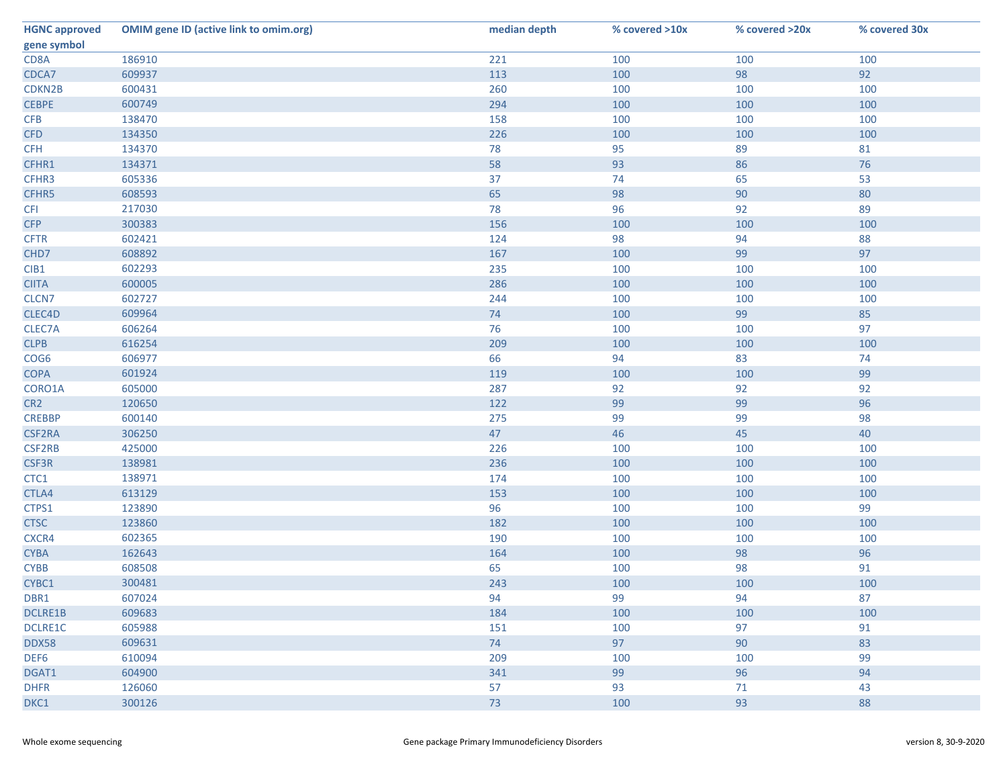| <b>HGNC approved</b> | <b>OMIM gene ID (active link to omim.org)</b> | median depth | % covered >10x | % covered >20x | % covered 30x |
|----------------------|-----------------------------------------------|--------------|----------------|----------------|---------------|
| gene symbol          |                                               |              |                |                |               |
| CD8A                 | 186910                                        | 221          | 100            | 100            | 100           |
| CDCA7                | 609937                                        | 113          | 100            | 98             | 92            |
| CDKN2B               | 600431                                        | 260          | 100            | 100            | 100           |
| <b>CEBPE</b>         | 600749                                        | 294          | 100            | 100            | 100           |
| <b>CFB</b>           | 138470                                        | 158          | 100            | 100            | 100           |
| <b>CFD</b>           | 134350                                        | 226          | 100            | 100            | 100           |
| <b>CFH</b>           | 134370                                        | 78           | 95             | 89             | 81            |
| CFHR1                | 134371                                        | 58           | 93             | 86             | 76            |
| CFHR3                | 605336                                        | 37           | 74             | 65             | 53            |
| CFHR5                | 608593                                        | 65           | 98             | 90             | 80            |
| <b>CFI</b>           | 217030                                        | 78           | 96             | 92             | 89            |
| <b>CFP</b>           | 300383                                        | 156          | 100            | 100            | 100           |
| <b>CFTR</b>          | 602421                                        | 124          | 98             | 94             | 88            |
| CHD7                 | 608892                                        | 167          | 100            | 99             | 97            |
| CIB1                 | 602293                                        | 235          | 100            | 100            | 100           |
| <b>CIITA</b>         | 600005                                        | 286          | 100            | 100            | 100           |
| CLCN7                | 602727                                        | 244          | 100            | 100            | 100           |
| CLEC4D               | 609964                                        | 74           | 100            | 99             | 85            |
| CLEC7A               | 606264                                        | 76           | 100            | 100            | 97            |
| <b>CLPB</b>          | 616254                                        | 209          | 100            | 100            | 100           |
| COG6                 | 606977                                        | 66           | 94             | 83             | 74            |
| <b>COPA</b>          | 601924                                        | 119          | 100            | 100            | 99            |
| CORO1A               | 605000                                        | 287          | 92             | 92             | 92            |
| CR <sub>2</sub>      | 120650                                        | 122          | 99             | 99             | 96            |
| <b>CREBBP</b>        | 600140                                        | 275          | 99             | 99             | 98            |
| <b>CSF2RA</b>        | 306250                                        | 47           | 46             | 45             | 40            |
| <b>CSF2RB</b>        | 425000                                        | 226          | 100            | 100            | 100           |
| CSF3R                | 138981                                        | 236          | 100            | 100            | 100           |
| CTC1                 | 138971                                        | 174          | 100            | 100            | 100           |
| CTLA4                | 613129                                        | 153          | 100            | 100            | 100           |
| CTPS1                | 123890                                        | 96           | 100            | 100            | 99            |
| <b>CTSC</b>          | 123860                                        | 182          | 100            | 100            | 100           |
| CXCR4                | 602365                                        | 190          | 100            | 100            | 100           |
| <b>CYBA</b>          | 162643                                        | 164          | 100            | 98             | 96            |
| <b>CYBB</b>          | 608508                                        | 65           | 100            | 98             | 91            |
| CYBC1                | 300481                                        | 243          | 100            | 100            | 100           |
| DBR1                 | 607024                                        | 94           | 99             | 94             | 87            |
| <b>DCLRE1B</b>       | 609683                                        | 184          | 100            | 100            | 100           |
| DCLRE1C              | 605988                                        | 151          | 100            | 97             | 91            |
| DDX58                | 609631                                        | 74           | 97             | 90             | 83            |
| DEF6                 | 610094                                        | 209          | 100            | 100            | 99            |
| DGAT1                | 604900                                        | 341          | 99             | 96             | 94            |
| <b>DHFR</b>          | 126060                                        | 57           | 93             | 71             | 43            |
| DKC1                 | 300126                                        | 73           | 100            | 93             | 88            |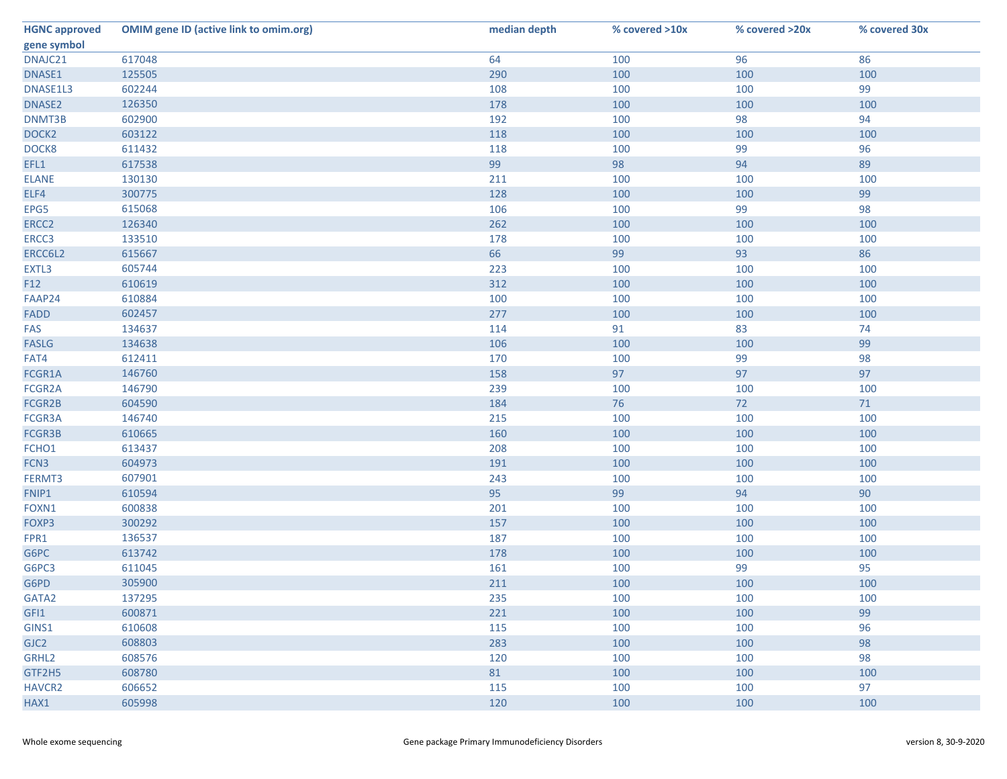| <b>HGNC approved</b> | <b>OMIM gene ID (active link to omim.org)</b> | median depth | % covered >10x | % covered >20x | % covered 30x |
|----------------------|-----------------------------------------------|--------------|----------------|----------------|---------------|
| gene symbol          |                                               |              |                |                |               |
| DNAJC21              | 617048                                        | 64           | 100            | 96             | 86            |
| DNASE1               | 125505                                        | 290          | 100            | 100            | 100           |
| DNASE1L3             | 602244                                        | 108          | 100            | 100            | 99            |
| DNASE2               | 126350                                        | 178          | 100            | 100            | 100           |
| DNMT3B               | 602900                                        | 192          | 100            | 98             | 94            |
| DOCK <sub>2</sub>    | 603122                                        | 118          | 100            | 100            | 100           |
| DOCK8                | 611432                                        | 118          | 100            | 99             | 96            |
| EFL1                 | 617538                                        | 99           | 98             | 94             | 89            |
| <b>ELANE</b>         | 130130                                        | 211          | 100            | 100            | 100           |
| ELF4                 | 300775                                        | 128          | 100            | 100            | 99            |
| EPG5                 | 615068                                        | 106          | 100            | 99             | 98            |
| ERCC <sub>2</sub>    | 126340                                        | 262          | 100            | 100            | 100           |
| ERCC3                | 133510                                        | 178          | 100            | 100            | 100           |
| ERCC6L2              | 615667                                        | 66           | 99             | 93             | 86            |
| EXTL3                | 605744                                        | 223          | 100            | 100            | 100           |
| F12                  | 610619                                        | 312          | 100            | 100            | 100           |
| FAAP24               | 610884                                        | 100          | 100            | 100            | 100           |
| <b>FADD</b>          | 602457                                        | 277          | 100            | 100            | 100           |
| FAS                  | 134637                                        | 114          | 91             | 83             | 74            |
| <b>FASLG</b>         | 134638                                        | 106          | 100            | 100            | 99            |
| FAT4                 | 612411                                        | 170          | 100            | 99             | 98            |
| FCGR1A               | 146760                                        | 158          | 97             | 97             | 97            |
| FCGR2A               | 146790                                        | 239          | 100            | 100            | 100           |
| FCGR2B               | 604590                                        | 184          | 76             | 72             | 71            |
| FCGR3A               | 146740                                        | 215          | 100            | 100            | 100           |
| FCGR3B               | 610665                                        | 160          | 100            | 100            | 100           |
| FCHO1                | 613437                                        | 208          | 100            | 100            | 100           |
| FCN3                 | 604973                                        | 191          | 100            | 100            | 100           |
| FERMT3               | 607901                                        | 243          | 100            | 100            | 100           |
| FNIP1                | 610594                                        | 95           | 99             | 94             | 90            |
| FOXN1                | 600838                                        | 201          | 100            | 100            | 100           |
| FOXP3                | 300292                                        | 157          | 100            | 100            | 100           |
| FPR1                 | 136537                                        | 187          | 100            | 100            | 100           |
| G6PC                 | 613742                                        | 178          | 100            | 100            | 100           |
| G6PC3                | 611045                                        | 161          | 100            | 99             | 95            |
| G6PD                 | 305900                                        | 211          | 100            | 100            | 100           |
| GATA2                | 137295                                        | 235          | 100            | 100            | 100           |
| GFI1                 | 600871                                        | 221          | 100            | 100            | 99            |
| GINS1                | 610608                                        | 115          | 100            | 100            | 96            |
| GJC <sub>2</sub>     | 608803                                        | 283          | 100            | 100            | 98            |
| GRHL2                | 608576                                        | 120          | 100            | 100            | 98            |
| GTF2H5               | 608780                                        | 81           | 100            | 100            | 100           |
| <b>HAVCR2</b>        | 606652                                        | 115          | 100            | 100            | 97            |
| HAX1                 | 605998                                        | 120          | 100            | 100            | 100           |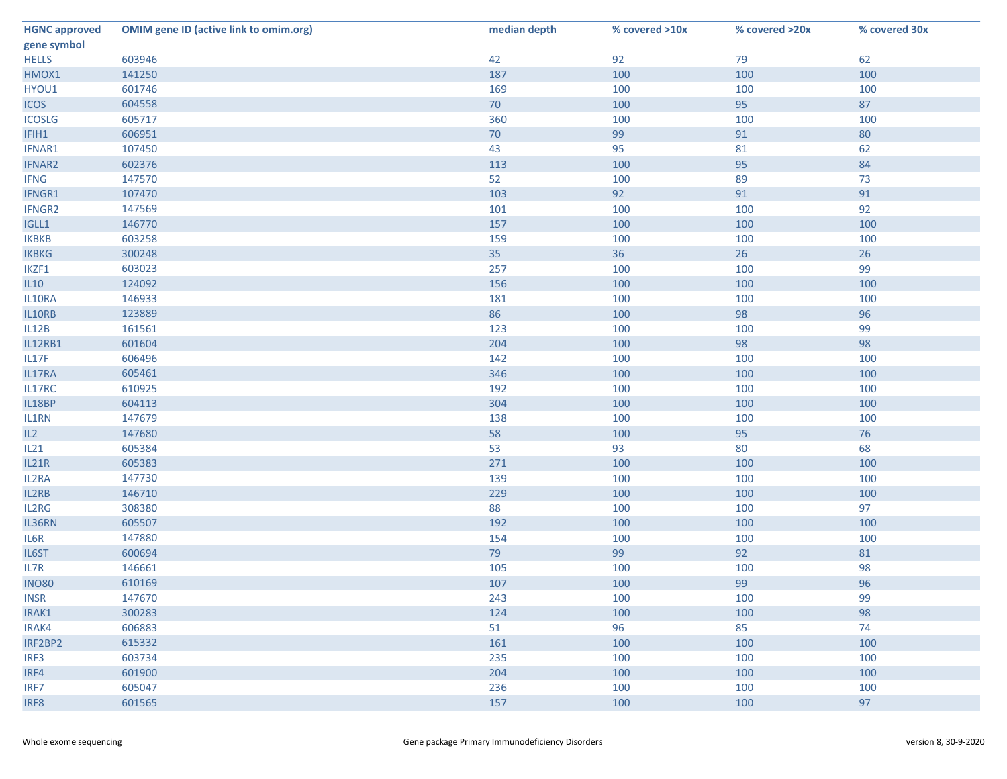| <b>HGNC approved</b> | <b>OMIM gene ID (active link to omim.org)</b> | median depth | % covered >10x | % covered >20x | % covered 30x |
|----------------------|-----------------------------------------------|--------------|----------------|----------------|---------------|
| gene symbol          |                                               |              |                |                |               |
| <b>HELLS</b>         | 603946                                        | 42           | 92             | 79             | 62            |
| HMOX1                | 141250                                        | 187          | 100            | 100            | 100           |
| HYOU1                | 601746                                        | 169          | 100            | 100            | 100           |
| <b>ICOS</b>          | 604558                                        | 70           | 100            | 95             | 87            |
| <b>ICOSLG</b>        | 605717                                        | 360          | 100            | 100            | 100           |
| IFIH1                | 606951                                        | 70           | 99             | 91             | 80            |
| IFNAR1               | 107450                                        | 43           | 95             | 81             | 62            |
| <b>IFNAR2</b>        | 602376                                        | 113          | 100            | 95             | 84            |
| <b>IFNG</b>          | 147570                                        | 52           | 100            | 89             | 73            |
| IFNGR1               | 107470                                        | 103          | 92             | 91             | 91            |
| IFNGR2               | 147569                                        | 101          | 100            | 100            | 92            |
| IGLL1                | 146770                                        | 157          | 100            | 100            | 100           |
| <b>IKBKB</b>         | 603258                                        | 159          | 100            | 100            | 100           |
| <b>IKBKG</b>         | 300248                                        | 35           | 36             | 26             | 26            |
| IKZF1                | 603023                                        | 257          | 100            | 100            | 99            |
| IL10                 | 124092                                        | 156          | 100            | 100            | 100           |
| IL10RA               | 146933                                        | 181          | 100            | 100            | 100           |
| IL10RB               | 123889                                        | 86           | 100            | 98             | 96            |
| IL12B                | 161561                                        | 123          | 100            | 100            | 99            |
| IL12RB1              | 601604                                        | 204          | 100            | 98             | 98            |
| IL17F                | 606496                                        | 142          | 100            | 100            | 100           |
| IL17RA               | 605461                                        | 346          | 100            | 100            | 100           |
| IL17RC               | 610925                                        | 192          | 100            | 100            | 100           |
| IL18BP               | 604113                                        | 304          | 100            | 100            | 100           |
| IL1RN                | 147679                                        | 138          | 100            | 100            | 100           |
| IL2                  | 147680                                        | 58           | 100            | 95             | 76            |
| IL21                 | 605384                                        | 53           | 93             | 80             | 68            |
| IL21R                | 605383                                        | 271          | 100            | 100            | 100           |
| IL2RA                | 147730                                        | 139          | 100            | 100            | 100           |
| IL2RB                | 146710                                        | 229          | 100            | 100            | 100           |
| IL2RG                | 308380                                        | 88           | 100            | 100            | 97            |
| IL36RN               | 605507                                        | 192          | 100            | 100            | 100           |
| IL6R                 | 147880                                        | 154          | 100            | 100            | 100           |
| IL6ST                | 600694                                        | 79           | 99             | 92             | 81            |
| IL7R                 | 146661                                        | 105          | 100            | 100            | 98            |
| <b>INO80</b>         | 610169                                        | 107          | 100            | 99             | 96            |
| <b>INSR</b>          | 147670                                        | 243          | 100            | 100            | 99            |
| IRAK1                | 300283                                        | 124          | 100            | 100            | 98            |
| IRAK4                | 606883                                        | 51           | 96             | 85             | 74            |
| IRF2BP2              | 615332                                        | 161          | 100            | 100            | 100           |
| IRF3                 | 603734                                        | 235          | 100            | 100            | 100           |
| IRF4                 | 601900                                        | 204          | 100            | 100            | 100           |
| IRF7                 | 605047                                        | 236          | 100            | 100            | 100           |
| IRF8                 | 601565                                        | 157          | 100            | 100            | 97            |
|                      |                                               |              |                |                |               |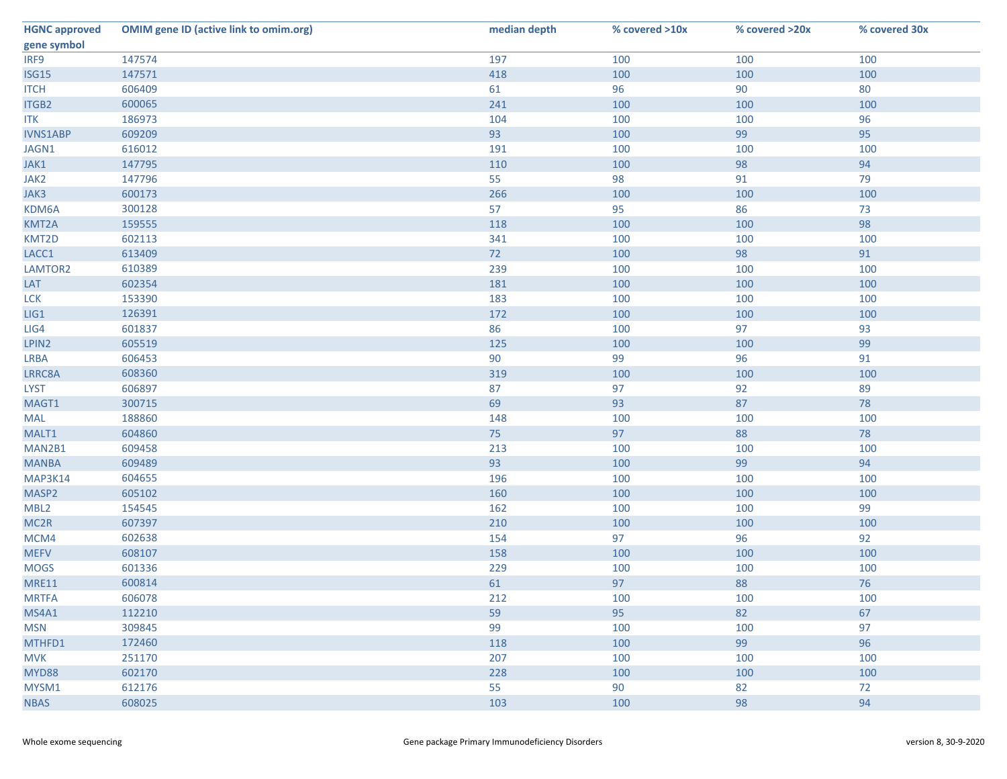| <b>HGNC approved</b> | <b>OMIM gene ID (active link to omim.org)</b> | median depth | % covered >10x | % covered >20x | % covered 30x |
|----------------------|-----------------------------------------------|--------------|----------------|----------------|---------------|
| gene symbol          |                                               |              |                |                |               |
| IRF9                 | 147574                                        | 197          | 100            | 100            | 100           |
| ISG15                | 147571                                        | 418          | 100            | 100            | 100           |
| <b>ITCH</b>          | 606409                                        | 61           | 96             | 90             | 80            |
| ITGB2                | 600065                                        | 241          | 100            | 100            | 100           |
| <b>ITK</b>           | 186973                                        | 104          | 100            | 100            | 96            |
| <b>IVNS1ABP</b>      | 609209                                        | 93           | 100            | 99             | 95            |
| JAGN1                | 616012                                        | 191          | 100            | 100            | 100           |
| JAK1                 | 147795                                        | 110          | 100            | 98             | 94            |
| JAK2                 | 147796                                        | 55           | 98             | 91             | 79            |
| JAK3                 | 600173                                        | 266          | 100            | 100            | 100           |
| KDM6A                | 300128                                        | 57           | 95             | 86             | 73            |
| KMT2A                | 159555                                        | 118          | 100            | 100            | 98            |
| KMT2D                | 602113                                        | 341          | 100            | 100            | 100           |
| LACC1                | 613409                                        | 72           | 100            | 98             | 91            |
| LAMTOR2              | 610389                                        | 239          | 100            | 100            | 100           |
| LAT                  | 602354                                        | 181          | 100            | 100            | 100           |
| <b>LCK</b>           | 153390                                        | 183          | 100            | 100            | 100           |
| LIG1                 | 126391                                        | 172          | 100            | 100            | 100           |
| LIG4                 | 601837                                        | 86           | 100            | 97             | 93            |
| LPIN2                | 605519                                        | 125          | 100            | 100            | 99            |
| <b>LRBA</b>          | 606453                                        | 90           | 99             | 96             | 91            |
| LRRC8A               | 608360                                        | 319          | 100            | 100            | 100           |
| <b>LYST</b>          | 606897                                        | 87           | 97             | 92             | 89            |
| MAGT1                | 300715                                        | 69           | 93             | 87             | 78            |
| MAL                  | 188860                                        | 148          | 100            | 100            | 100           |
| MALT1                | 604860                                        | 75           | 97             | 88             | 78            |
| MAN2B1               | 609458                                        | 213          | 100            | 100            | 100           |
| <b>MANBA</b>         | 609489                                        | 93           | 100            | 99             | 94            |
| MAP3K14              | 604655                                        | 196          | 100            | 100            | 100           |
| MASP2                | 605102                                        | 160          | 100            | 100            | 100           |
| MBL <sub>2</sub>     | 154545                                        | 162          | 100            | 100            | 99            |
| MC <sub>2R</sub>     | 607397                                        | 210          | 100            | 100            | 100           |
| MCM4                 | 602638                                        | 154          | 97             | 96             | 92            |
| <b>MEFV</b>          | 608107                                        | 158          | 100            | 100            | 100           |
| <b>MOGS</b>          | 601336                                        | 229          | 100            | 100            | 100           |
| <b>MRE11</b>         | 600814                                        | 61           | 97             | 88             | 76            |
| <b>MRTFA</b>         | 606078                                        | 212          | 100            | 100            | 100           |
| MS4A1                | 112210                                        | 59           | 95             | 82             | 67            |
| <b>MSN</b>           | 309845                                        | 99           | 100            | 100            | 97            |
| MTHFD1               | 172460                                        | 118          | 100            | 99             | 96            |
| <b>MVK</b>           | 251170                                        | 207          | 100            | 100            | 100           |
| MYD88                | 602170                                        | 228          | 100            | 100            | 100           |
| MYSM1                | 612176                                        | 55           | 90             | 82             | 72            |
| <b>NBAS</b>          | 608025                                        | 103          | 100            | 98             | 94            |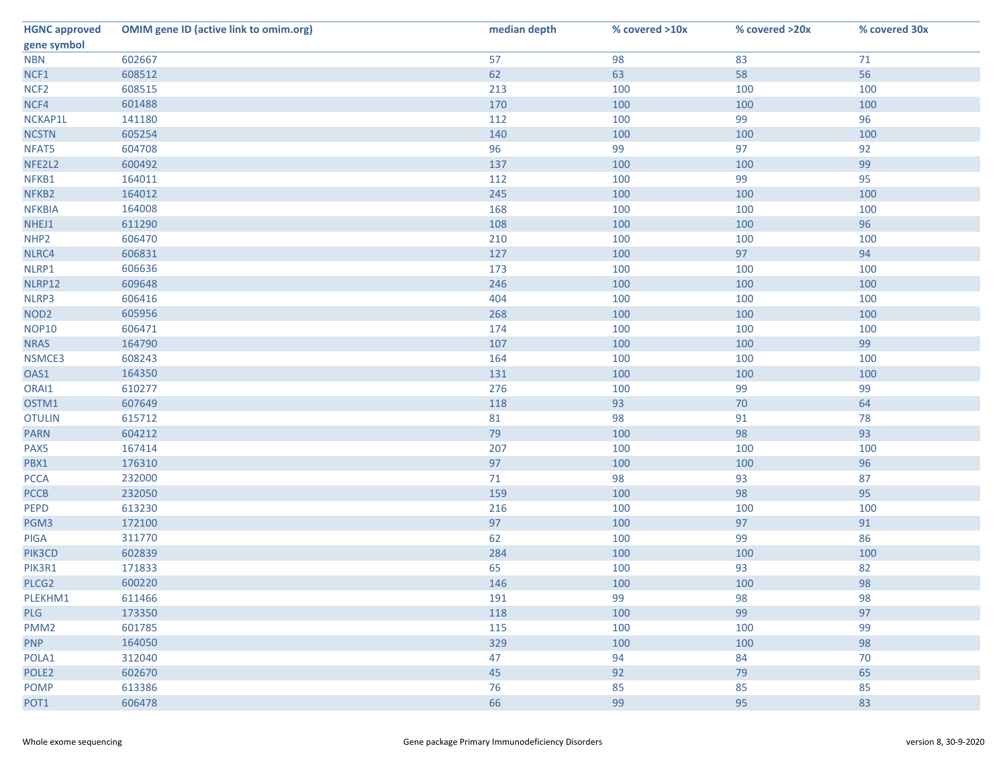| <b>HGNC approved</b> | <b>OMIM gene ID (active link to omim.org)</b> | median depth | % covered >10x | % covered >20x | % covered 30x |
|----------------------|-----------------------------------------------|--------------|----------------|----------------|---------------|
| gene symbol          |                                               |              |                |                |               |
| <b>NBN</b>           | 602667                                        | 57           | 98             | 83             | 71            |
| NCF1                 | 608512                                        | 62           | 63             | 58             | 56            |
| NCF <sub>2</sub>     | 608515                                        | 213          | 100            | 100            | 100           |
| NCF4                 | 601488                                        | 170          | 100            | 100            | 100           |
| NCKAP1L              | 141180                                        | 112          | 100            | 99             | 96            |
| <b>NCSTN</b>         | 605254                                        | 140          | 100            | 100            | 100           |
| NFAT5                | 604708                                        | 96           | 99             | 97             | 92            |
| NFE2L2               | 600492                                        | 137          | 100            | 100            | 99            |
| NFKB1                | 164011                                        | 112          | 100            | 99             | 95            |
| NFKB2                | 164012                                        | 245          | 100            | 100            | 100           |
| <b>NFKBIA</b>        | 164008                                        | 168          | 100            | 100            | 100           |
| NHEJ1                | 611290                                        | 108          | 100            | 100            | 96            |
| NHP <sub>2</sub>     | 606470                                        | 210          | 100            | 100            | 100           |
| NLRC4                | 606831                                        | 127          | 100            | 97             | 94            |
| NLRP1                | 606636                                        | 173          | 100            | 100            | 100           |
| NLRP12               | 609648                                        | 246          | 100            | 100            | 100           |
| NLRP3                | 606416                                        | 404          | 100            | 100            | 100           |
| NOD <sub>2</sub>     | 605956                                        | 268          | 100            | 100            | 100           |
| <b>NOP10</b>         | 606471                                        | 174          | 100            | 100            | 100           |
| <b>NRAS</b>          | 164790                                        | 107          | 100            | 100            | 99            |
| NSMCE3               | 608243                                        | 164          | 100            | 100            | 100           |
| OAS1                 | 164350                                        | 131          | 100            | 100            | 100           |
| ORAI1                | 610277                                        | 276          | 100            | 99             | 99            |
| OSTM1                | 607649                                        | 118          | 93             | 70             | 64            |
| <b>OTULIN</b>        | 615712                                        | 81           | 98             | 91             | 78            |
| <b>PARN</b>          | 604212                                        | 79           | 100            | 98             | 93            |
| PAX5                 | 167414                                        | 207          | 100            | 100            | 100           |
| PBX1                 | 176310                                        | 97           | 100            | 100            | 96            |
| <b>PCCA</b>          | 232000                                        | 71           | 98             | 93             | 87            |
| <b>PCCB</b>          | 232050                                        | 159          | 100            | 98             | 95            |
| <b>PEPD</b>          | 613230                                        | 216          | 100            | 100            | 100           |
| PGM3                 | 172100                                        | 97           | 100            | 97             | 91            |
| PIGA                 | 311770                                        | 62           | 100            | 99             | 86            |
| PIK3CD               | 602839                                        | 284          | 100            | 100            | 100           |
| PIK3R1               | 171833                                        | 65           | 100            | 93             | 82            |
| PLCG2                | 600220                                        | 146          | 100            | 100            | 98            |
| PLEKHM1              | 611466                                        | 191          | 99             | 98             | 98            |
| <b>PLG</b>           | 173350                                        | 118          | 100            | 99             | 97            |
| PMM <sub>2</sub>     | 601785                                        | 115          | 100            | 100            | 99            |
| <b>PNP</b>           | 164050                                        | 329          | 100            | 100            | 98            |
| POLA1                | 312040                                        | 47           | 94             | 84             | 70            |
| POLE <sub>2</sub>    | 602670                                        | 45           | 92             | 79             | 65            |
| <b>POMP</b>          | 613386                                        | 76           | 85             | 85             | 85            |
| POT1                 | 606478                                        | 66           | 99             | 95             | 83            |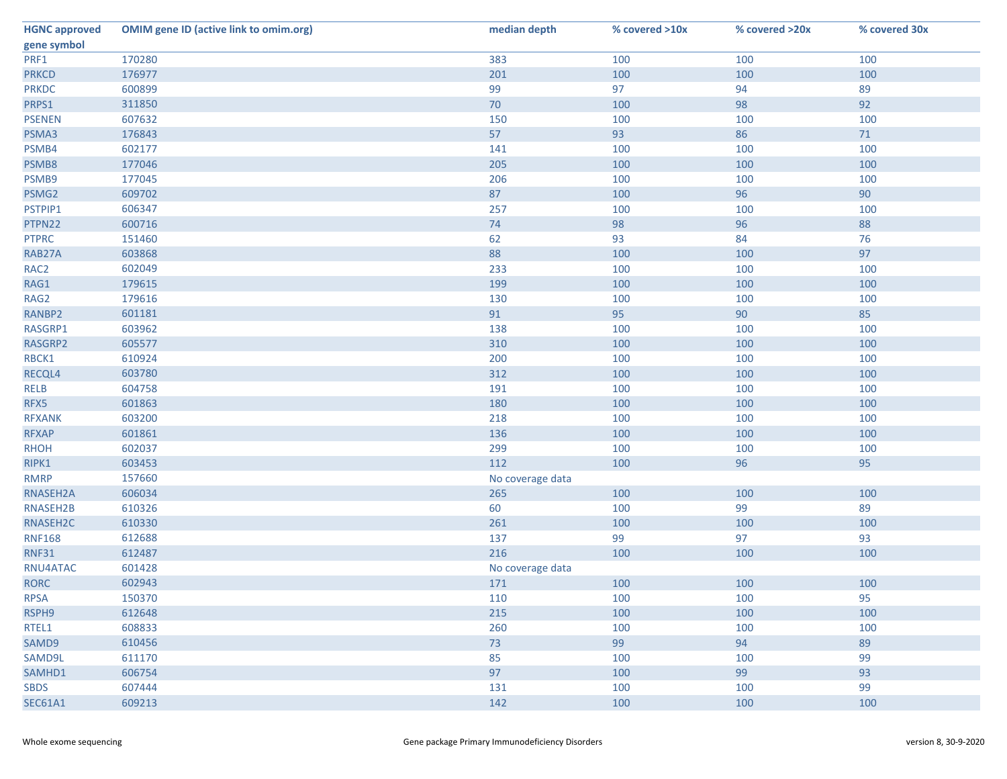| <b>HGNC approved</b> | <b>OMIM gene ID (active link to omim.org)</b> | median depth     | % covered >10x | % covered >20x | % covered 30x |
|----------------------|-----------------------------------------------|------------------|----------------|----------------|---------------|
| gene symbol          |                                               |                  |                |                |               |
| PRF1                 | 170280                                        | 383              | 100            | 100            | 100           |
| <b>PRKCD</b>         | 176977                                        | 201              | 100            | 100            | 100           |
| <b>PRKDC</b>         | 600899                                        | 99               | 97             | 94             | 89            |
| PRPS1                | 311850                                        | 70               | 100            | 98             | 92            |
| <b>PSENEN</b>        | 607632                                        | 150              | 100            | 100            | 100           |
| PSMA3                | 176843                                        | 57               | 93             | 86             | 71            |
| PSMB4                | 602177                                        | 141              | 100            | 100            | 100           |
| PSMB8                | 177046                                        | 205              | 100            | 100            | 100           |
| PSMB9                | 177045                                        | 206              | 100            | 100            | 100           |
| PSMG2                | 609702                                        | 87               | 100            | 96             | 90            |
| PSTPIP1              | 606347                                        | 257              | 100            | 100            | 100           |
| PTPN22               | 600716                                        | 74               | 98             | 96             | 88            |
| <b>PTPRC</b>         | 151460                                        | 62               | 93             | 84             | 76            |
| RAB27A               | 603868                                        | 88               | 100            | 100            | 97            |
| RAC <sub>2</sub>     | 602049                                        | 233              | 100            | 100            | 100           |
| RAG1                 | 179615                                        | 199              | 100            | 100            | 100           |
| RAG2                 | 179616                                        | 130              | 100            | 100            | 100           |
| RANBP2               | 601181                                        | 91               | 95             | 90             | 85            |
| RASGRP1              | 603962                                        | 138              | 100            | 100            | 100           |
| RASGRP2              | 605577                                        | 310              | 100            | 100            | 100           |
| RBCK1                | 610924                                        | 200              | 100            | 100            | 100           |
| RECQL4               | 603780                                        | 312              | 100            | 100            | 100           |
| <b>RELB</b>          | 604758                                        | 191              | 100            | 100            | 100           |
| RFX5                 | 601863                                        | 180              | 100            | 100            | 100           |
| <b>RFXANK</b>        | 603200                                        | 218              | 100            | 100            | 100           |
| <b>RFXAP</b>         | 601861                                        | 136              | 100            | 100            | 100           |
| <b>RHOH</b>          | 602037                                        | 299              | 100            | 100            | 100           |
| RIPK1                | 603453                                        | 112              | 100            | 96             | 95            |
| <b>RMRP</b>          | 157660                                        | No coverage data |                |                |               |
| RNASEH2A             | 606034                                        | 265              | 100            | 100            | 100           |
| RNASEH2B             | 610326                                        | 60               | 100            | 99             | 89            |
| RNASEH2C             | 610330                                        | 261              | 100            | 100            | 100           |
| <b>RNF168</b>        | 612688                                        | 137              | 99             | 97             | 93            |
| <b>RNF31</b>         | 612487                                        | 216              | 100            | 100            | 100           |
| RNU4ATAC             | 601428                                        | No coverage data |                |                |               |
| <b>RORC</b>          | 602943                                        | 171              | 100            | 100            | 100           |
| <b>RPSA</b>          | 150370                                        | 110              | 100            | 100            | 95            |
| RSPH9                | 612648                                        | 215              | 100            | 100            | 100           |
| RTEL1                | 608833                                        | 260              | 100            | 100            | 100           |
| SAMD9                | 610456                                        | 73               | 99             | 94             | 89            |
| SAMD9L               | 611170                                        | 85               | 100            | 100            | 99            |
| SAMHD1               | 606754                                        | 97               | 100            | 99             | 93            |
| <b>SBDS</b>          | 607444                                        | 131              | 100            | 100            | 99            |
| <b>SEC61A1</b>       | 609213                                        | 142              | 100            | 100            | 100           |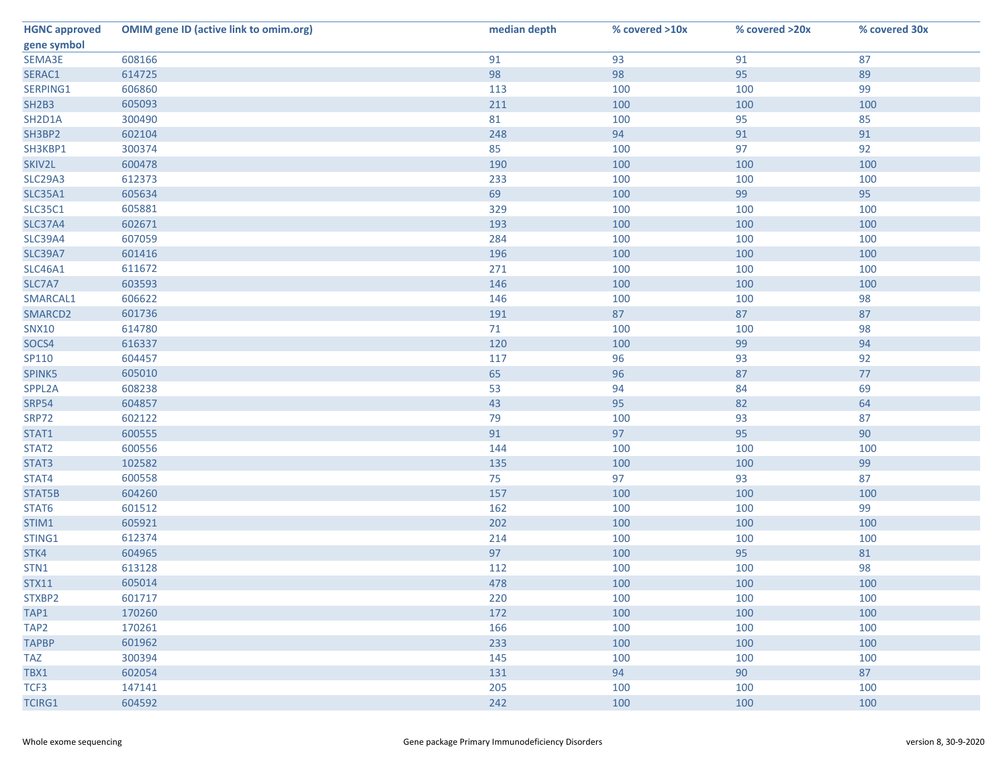| <b>HGNC approved</b> | <b>OMIM gene ID (active link to omim.org)</b> | median depth | % covered >10x | % covered >20x | % covered 30x |
|----------------------|-----------------------------------------------|--------------|----------------|----------------|---------------|
| gene symbol          |                                               |              |                |                |               |
| SEMA3E               | 608166                                        | 91           | 93             | 91             | 87            |
| SERAC1               | 614725                                        | 98           | 98             | 95             | 89            |
| SERPING1             | 606860                                        | 113          | 100            | 100            | 99            |
| <b>SH2B3</b>         | 605093                                        | 211          | 100            | 100            | 100           |
| SH2D1A               | 300490                                        | 81           | 100            | 95             | 85            |
| SH3BP2               | 602104                                        | 248          | 94             | 91             | 91            |
| SH3KBP1              | 300374                                        | 85           | 100            | 97             | 92            |
| SKIV2L               | 600478                                        | 190          | 100            | 100            | 100           |
| <b>SLC29A3</b>       | 612373                                        | 233          | 100            | 100            | 100           |
| <b>SLC35A1</b>       | 605634                                        | 69           | 100            | 99             | 95            |
| <b>SLC35C1</b>       | 605881                                        | 329          | 100            | 100            | 100           |
| <b>SLC37A4</b>       | 602671                                        | 193          | 100            | 100            | 100           |
| <b>SLC39A4</b>       | 607059                                        | 284          | 100            | 100            | 100           |
| <b>SLC39A7</b>       | 601416                                        | 196          | 100            | 100            | 100           |
| <b>SLC46A1</b>       | 611672                                        | 271          | 100            | 100            | 100           |
| SLC7A7               | 603593                                        | 146          | 100            | 100            | 100           |
| SMARCAL1             | 606622                                        | 146          | 100            | 100            | 98            |
| SMARCD2              | 601736                                        | 191          | 87             | 87             | 87            |
| <b>SNX10</b>         | 614780                                        | 71           | 100            | 100            | 98            |
| SOCS4                | 616337                                        | 120          | 100            | 99             | 94            |
| SP110                | 604457                                        | 117          | 96             | 93             | 92            |
| SPINK5               | 605010                                        | 65           | 96             | 87             | 77            |
| SPPL2A               | 608238                                        | 53           | 94             | 84             | 69            |
| <b>SRP54</b>         | 604857                                        | 43           | 95             | 82             | 64            |
| <b>SRP72</b>         | 602122                                        | 79           | 100            | 93             | 87            |
| STAT1                | 600555                                        | 91           | 97             | 95             | 90            |
| STAT2                | 600556                                        | 144          | 100            | 100            | 100           |
| STAT3                | 102582                                        | 135          | 100            | 100            | 99            |
| STAT4                | 600558                                        | 75           | 97             | 93             | 87            |
| STAT5B               | 604260                                        | 157          | 100            | 100            | 100           |
| STAT6                | 601512                                        | 162          | 100            | 100            | 99            |
| STIM1                | 605921                                        | 202          | 100            | 100            | 100           |
| STING1               | 612374                                        | 214          | 100            | 100            | 100           |
| STK4                 | 604965                                        | 97           | 100            | 95             | 81            |
| STN1                 | 613128                                        | 112          | 100            | 100            | 98            |
| <b>STX11</b>         | 605014                                        | 478          | 100            | 100            | 100           |
| STXBP2               | 601717                                        | 220          | 100            | 100            | 100           |
| TAP1                 | 170260                                        | 172          | 100            | 100            | 100           |
| TAP <sub>2</sub>     | 170261                                        | 166          | 100            | 100            | 100           |
| <b>TAPBP</b>         | 601962                                        | 233          | 100            | 100            | 100           |
| <b>TAZ</b>           | 300394                                        | 145          | 100            | 100            | 100           |
| TBX1                 | 602054                                        | 131          | 94             | 90             | 87            |
| TCF3                 | 147141                                        | 205          | 100            | 100            | 100           |
| <b>TCIRG1</b>        | 604592                                        | 242          | 100            | 100            | 100           |
|                      |                                               |              |                |                |               |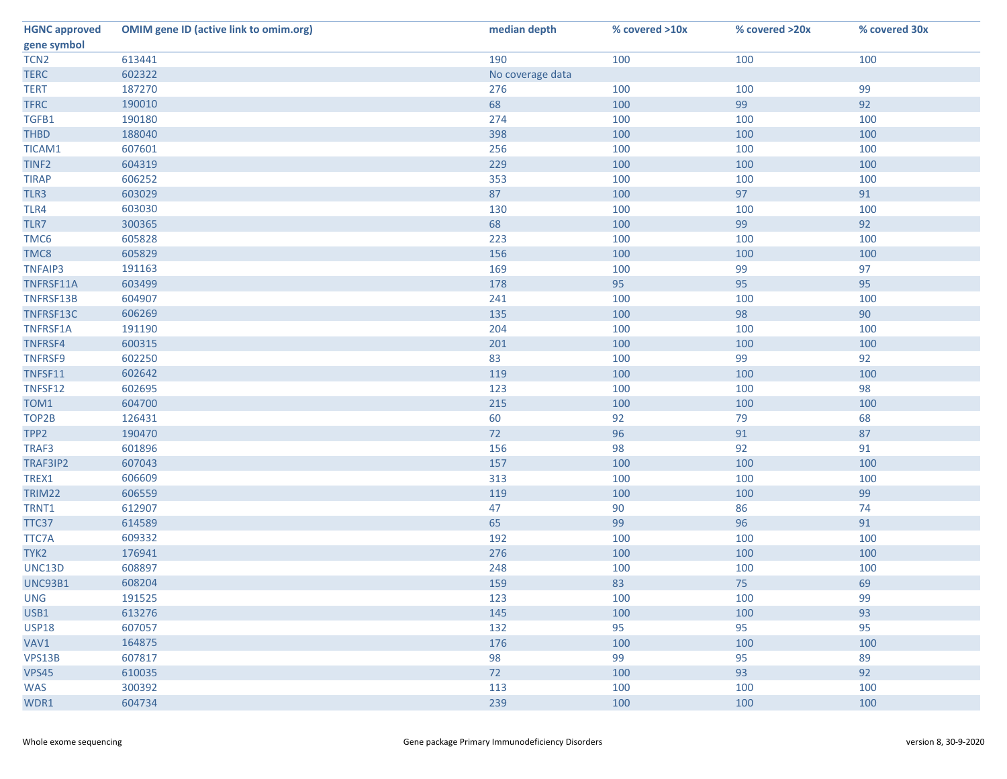| <b>HGNC approved</b> | <b>OMIM gene ID (active link to omim.org)</b> | median depth     | % covered >10x | % covered >20x | % covered 30x |
|----------------------|-----------------------------------------------|------------------|----------------|----------------|---------------|
| gene symbol          |                                               |                  |                |                |               |
| TCN <sub>2</sub>     | 613441                                        | 190              | 100            | 100            | 100           |
| <b>TERC</b>          | 602322                                        | No coverage data |                |                |               |
| <b>TERT</b>          | 187270                                        | 276              | 100            | 100            | 99            |
| <b>TFRC</b>          | 190010                                        | 68               | 100            | 99             | 92            |
| TGFB1                | 190180                                        | 274              | 100            | 100            | 100           |
| <b>THBD</b>          | 188040                                        | 398              | 100            | 100            | 100           |
| TICAM1               | 607601                                        | 256              | 100            | 100            | 100           |
| TINF <sub>2</sub>    | 604319                                        | 229              | 100            | 100            | 100           |
| <b>TIRAP</b>         | 606252                                        | 353              | 100            | 100            | 100           |
| TLR3                 | 603029                                        | 87               | 100            | 97             | 91            |
| TLR4                 | 603030                                        | 130              | 100            | 100            | 100           |
| TLR7                 | 300365                                        | 68               | 100            | 99             | 92            |
| TMC6                 | 605828                                        | 223              | 100            | 100            | 100           |
| TMC8                 | 605829                                        | 156              | 100            | 100            | 100           |
| <b>TNFAIP3</b>       | 191163                                        | 169              | 100            | 99             | 97            |
| TNFRSF11A            | 603499                                        | 178              | 95             | 95             | 95            |
| TNFRSF13B            | 604907                                        | 241              | 100            | 100            | 100           |
| TNFRSF13C            | 606269                                        | 135              | 100            | 98             | 90            |
| TNFRSF1A             | 191190                                        | 204              | 100            | 100            | 100           |
| <b>TNFRSF4</b>       | 600315                                        | 201              | 100            | 100            | 100           |
| <b>TNFRSF9</b>       | 602250                                        | 83               | 100            | 99             | 92            |
| TNFSF11              | 602642                                        | 119              | 100            | 100            | 100           |
| TNFSF12              | 602695                                        | 123              | 100            | 100            | 98            |
| TOM1                 | 604700                                        | 215              | 100            | 100            | 100           |
| TOP2B                | 126431                                        | 60               | 92             | 79             | 68            |
| TPP <sub>2</sub>     | 190470                                        | 72               | 96             | 91             | 87            |
| TRAF3                | 601896                                        | 156              | 98             | 92             | 91            |
| TRAF3IP2             | 607043                                        | 157              | 100            | 100            | 100           |
| TREX1                | 606609                                        | 313              | 100            | 100            | 100           |
| TRIM22               | 606559                                        | 119              | 100            | 100            | 99            |
| TRNT1                | 612907                                        | 47               | 90             | 86             | 74            |
| TTC37                | 614589                                        | 65               | 99             | 96             | 91            |
| TTC7A                | 609332                                        | 192              | 100            | 100            | 100           |
| TYK2                 | 176941                                        | 276              | 100            | 100            | 100           |
| UNC13D               | 608897                                        | 248              | 100            | 100            | 100           |
| <b>UNC93B1</b>       | 608204                                        | 159              | 83             | 75             | 69            |
| <b>UNG</b>           | 191525                                        | 123              | 100            | 100            | 99            |
| USB1                 | 613276                                        | 145              | 100            | 100            | 93            |
| <b>USP18</b>         | 607057                                        | 132              | 95             | 95             | 95            |
| VAV1                 | 164875                                        | 176              | 100            | 100            | 100           |
| VPS13B               | 607817                                        | 98               | 99             | 95             | 89            |
|                      |                                               |                  |                | 93             | 92            |
| VPS45                | 610035<br>300392                              | 72               | 100            |                |               |
| <b>WAS</b>           |                                               | 113              | 100            | 100            | 100           |
| WDR1                 | 604734                                        | 239              | 100            | 100            | 100           |